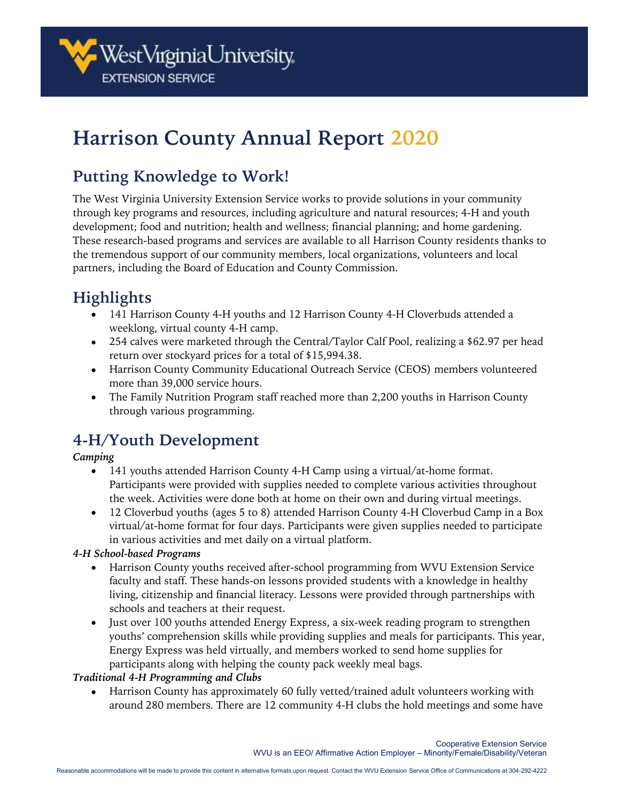# **Harrison County Annual Report 2020**

## **Putting Knowledge to Work!**

The West Virginia University Extension Service works to provide solutions in your community through key programs and resources, including agriculture and natural resources; 4-H and youth development; food and nutrition; health and wellness; financial planning; and home gardening. These research-based programs and services are available to all Harrison County residents thanks to the tremendous support of our community members, local organizations, volunteers and local partners, including the Board of Education and County Commission.

## **Highlights**

- 141 Harrison County 4-H youths and 12 Harrison County 4-H Cloverbuds attended a weeklong, virtual county 4-H camp.
- 254 calves were marketed through the Central/Taylor Calf Pool, realizing a \$62.97 per head return over stockyard prices for a total of \$15,994.38.
- Harrison County Community Educational Outreach Service (CEOS) members volunteered more than 39,000 service hours.
- The Family Nutrition Program staff reached more than 2,200 youths in Harrison County through various programming.

### **4-H/Youth Development**

### *Camping*

- 141 youths attended Harrison County 4-H Camp using a virtual/at-home format. Participants were provided with supplies needed to complete various activities throughout the week. Activities were done both at home on their own and during virtual meetings.
- 12 Cloverbud youths (ages 5 to 8) attended Harrison County 4-H Cloverbud Camp in a Box virtual/at-home format for four days. Participants were given supplies needed to participate in various activities and met daily on a virtual platform.

### *4-H School-based Programs*

- Harrison County youths received after-school programming from WVU Extension Service faculty and staff. These hands-on lessons provided students with a knowledge in healthy living, citizenship and financial literacy. Lessons were provided through partnerships with schools and teachers at their request.
- Just over 100 youths attended Energy Express, a six-week reading program to strengthen youths' comprehension skills while providing supplies and meals for participants. This year, Energy Express was held virtually, and members worked to send home supplies for participants along with helping the county pack weekly meal bags.

### *Traditional 4-H Programming and Clubs*

• Harrison County has approximately 60 fully vetted/trained adult volunteers working with around 280 members. There are 12 community 4-H clubs the hold meetings and some have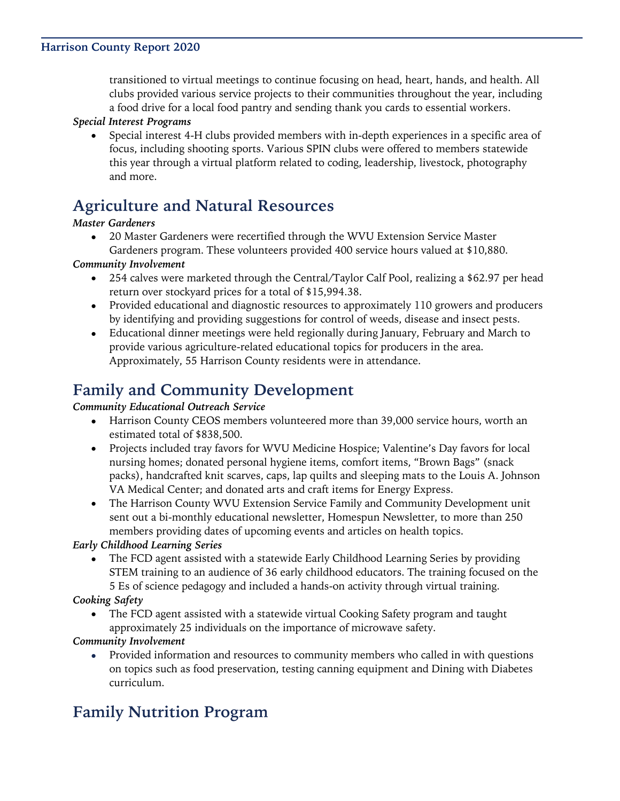#### **Harrison County Report 2020**

transitioned to virtual meetings to continue focusing on head, heart, hands, and health. All clubs provided various service projects to their communities throughout the year, including a food drive for a local food pantry and sending thank you cards to essential workers.

#### *Special Interest Programs*

• Special interest 4-H clubs provided members with in-depth experiences in a specific area of focus, including shooting sports. Various SPIN clubs were offered to members statewide this year through a virtual platform related to coding, leadership, livestock, photography and more.

### **Agriculture and Natural Resources**

#### *Master Gardeners*

• 20 Master Gardeners were recertified through the WVU Extension Service Master Gardeners program. These volunteers provided 400 service hours valued at \$10,880.

#### *Community Involvement*

- 254 calves were marketed through the Central/Taylor Calf Pool, realizing a \$62.97 per head return over stockyard prices for a total of \$15,994.38.
- Provided educational and diagnostic resources to approximately 110 growers and producers by identifying and providing suggestions for control of weeds, disease and insect pests.
- Educational dinner meetings were held regionally during January, February and March to provide various agriculture-related educational topics for producers in the area. Approximately, 55 Harrison County residents were in attendance.

### **Family and Community Development**

#### *Community Educational Outreach Service*

- Harrison County CEOS members volunteered more than 39,000 service hours, worth an estimated total of \$838,500.
- Projects included tray favors for WVU Medicine Hospice; Valentine's Day favors for local nursing homes; donated personal hygiene items, comfort items, "Brown Bags" (snack packs), handcrafted knit scarves, caps, lap quilts and sleeping mats to the Louis A. Johnson VA Medical Center; and donated arts and craft items for Energy Express.
- The Harrison County WVU Extension Service Family and Community Development unit sent out a bi-monthly educational newsletter, Homespun Newsletter, to more than 250 members providing dates of upcoming events and articles on health topics.

### *Early Childhood Learning Series*

• The FCD agent assisted with a statewide Early Childhood Learning Series by providing STEM training to an audience of 36 early childhood educators. The training focused on the 5 Es of science pedagogy and included a hands-on activity through virtual training.

*Cooking Safety*

• The FCD agent assisted with a statewide virtual Cooking Safety program and taught approximately 25 individuals on the importance of microwave safety.

### *Community Involvement*

• Provided information and resources to community members who called in with questions on topics such as food preservation, testing canning equipment and Dining with Diabetes curriculum.

### **Family Nutrition Program**